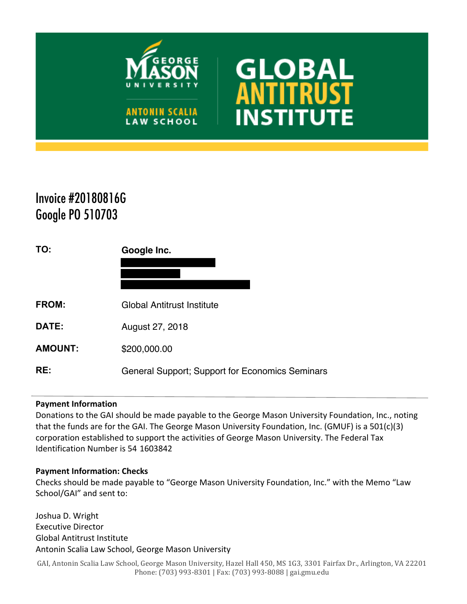

**ANTONIN SCALIA LAW SCHOOL** 



# Invoice #20180816G Google PO 510703

| TO:            | Google Inc.                                     |
|----------------|-------------------------------------------------|
|                |                                                 |
| <b>FROM:</b>   | <b>Global Antitrust Institute</b>               |
| DATE:          | August 27, 2018                                 |
| <b>AMOUNT:</b> | \$200,000.00                                    |
| RE:            | General Support; Support for Economics Seminars |

## **Payment Information**

Donations to the GAI should be made payable to the George Mason University Foundation, Inc., noting that the funds are for the GAI. The George Mason University Foundation, Inc. (GMUF) is a 501(c)(3) corporation established to support the activities of George Mason University. The Federal Tax Identification Number is 54 1603842

## **Payment Information: Checks**

Checks should be made payable to "George Mason University Foundation, Inc." with the Memo "Law School/GAI" and sent to:

Joshua D. Wright Executive Director Global Antitrust Institute Antonin Scalia Law School, George Mason University

GAI, Antonin Scalia Law School, George Mason University, Hazel Hall 450, MS 1G3, 3301 Fairfax Dr., Arlington, VA 22201 Phone: (703) 993-8301 | Fax: (703) 993-8088 | gai.gmu.edu